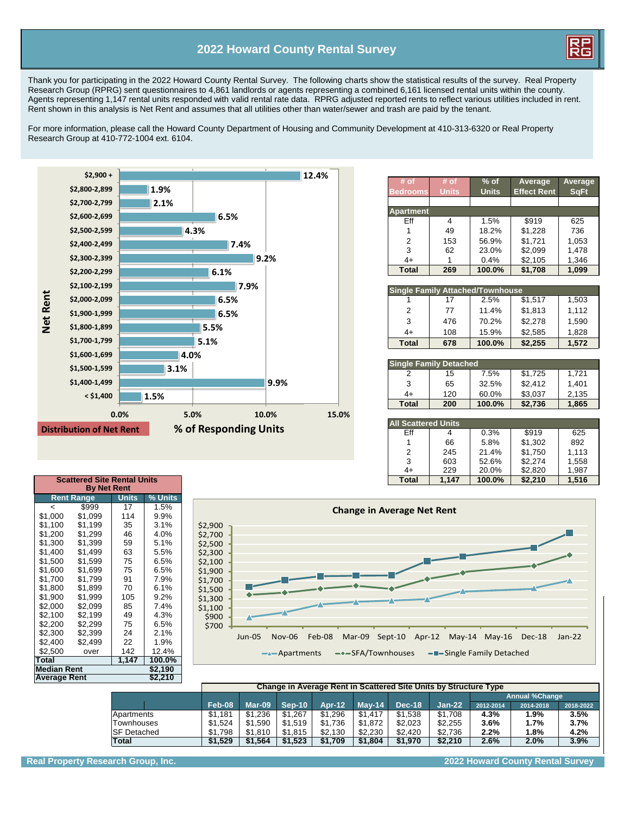## **2022 Howard County Rental Survey**



Thank you for participating in the 2022 Howard County Rental Survey. The following charts show the statistical results of the survey. Real Property Research Group (RPRG) sent questionnaires to 4,861 landlords or agents representing a combined 6,161 licensed rental units within the county. Agents representing 1,147 rental units responded with valid rental rate data. RPRG adjusted reported rents to reflect various utilities included in rent. Rent shown in this analysis is Net Rent and assumes that all utilities other than water/sewer and trash are paid by the tenant.

For more information, please call the Howard County Department of Housing and Community Development at 410-313-6320 or Real Property Research Group at 410-772-1004 ext. 6104.



| $#$ of<br><b>Bedrooms</b> | # of<br><b>Units</b> | $%$ of<br><b>Units</b> | Average<br><b>Effect Rent</b> | Average<br><b>SqFt</b> |
|---------------------------|----------------------|------------------------|-------------------------------|------------------------|
| <b>Apartment</b>          |                      |                        |                               |                        |
| Fff                       | 4                    | 1.5%                   | \$919                         | 625                    |
|                           | 49                   | 18.2%                  | \$1,228                       | 736                    |
| 2                         | 153                  | 56.9%                  | \$1,721                       | 1,053                  |
| 3                         | 62                   | 23.0%                  | \$2,099                       | 1.478                  |
| 4+                        |                      | 0.4%                   | \$2,105                       | 1,346                  |
| <b>Total</b>              | 269                  | 100.0%                 | \$1,708                       | 1.099                  |

| <b>Single Family Attached/Townhouse</b> |     |        |         |       |  |  |  |  |  |  |  |
|-----------------------------------------|-----|--------|---------|-------|--|--|--|--|--|--|--|
|                                         | 17  | 2.5%   | \$1,517 | 1,503 |  |  |  |  |  |  |  |
| 2                                       | 77  | 11.4%  | \$1,813 | 1,112 |  |  |  |  |  |  |  |
| 3                                       | 476 | 70.2%  | \$2,278 | 1,590 |  |  |  |  |  |  |  |
| $4+$                                    | 108 | 15.9%  | \$2,585 | 1,828 |  |  |  |  |  |  |  |
| Total                                   | 678 | 100.0% | \$2,255 | 1,572 |  |  |  |  |  |  |  |

| Single Family Detached |     |        |         |       |  |  |  |  |  |  |  |
|------------------------|-----|--------|---------|-------|--|--|--|--|--|--|--|
|                        | 15  | 7.5%   | \$1,725 | 1.721 |  |  |  |  |  |  |  |
| 3                      | 65  | 32.5%  | \$2,412 | 1.401 |  |  |  |  |  |  |  |
| 4+                     | 120 | 60.0%  | \$3.037 | 2,135 |  |  |  |  |  |  |  |
| <b>Total</b>           | 200 | 100.0% | \$2,736 | 1,865 |  |  |  |  |  |  |  |

## **All Scattered Units** Eff | 4 | 0.3% | \$919 | 625 1 66 5.8% \$1,302 892 2 245 21.4% \$1,750 1,113<br>3 603 52.6% \$2,274 1,558 603 52.6% \$2,274 1,558<br>229 20.0% \$2,820 1,987

4 + 229 20.0% \$2,820

| <b>Change in Average Net Rent</b>                                                                                                                                                                                                                                                                      |
|--------------------------------------------------------------------------------------------------------------------------------------------------------------------------------------------------------------------------------------------------------------------------------------------------------|
| \$2,900<br>\$2,700<br>\$2,500<br>\$2,300<br>\$2,100<br>\$1,900<br>\$1,700<br>\$1,500<br>\$1,300<br>\$1,100<br>\$900<br>\$700<br>Jun-05<br><b>Nov-06</b><br>Feb-08<br>Mar-09 Sept-10 Apr-12 May-14 May-16 Dec-18<br>$Jan-22$<br>-*-SFA/Townhouses -T-Single Family Detached<br>$\rightarrow$ Apartments |

| <b>Average Rent</b> | \$2,210 |       |        |
|---------------------|---------|-------|--------|
| <b>Median Rent</b>  | \$2,190 |       |        |
| Total               |         | 1,147 | 100.0% |
| \$2.500             | over    | 142   | 12.4%  |
| \$2.400             | \$2,499 | 22    | 1.9%   |
| \$2.300             | \$2.399 | 24    | 2.1%   |
| \$2.200             | \$2.299 | 75    | 6.5%   |
| \$2.100             | \$2,199 | 49    | 4.3%   |
| \$2.000             | \$2.099 | 85    | 7.4%   |
| \$1.900             | \$1.999 | 105   | 9.2%   |
| \$1.800             | \$1.899 | 70    | 6.1%   |
| \$1.700             | \$1.799 | 91    | 7.9%   |
| \$1.600             | \$1.699 | 75    | 6.5%   |
| \$1.500             | \$1.599 | 75    | 6.5%   |
| \$1.400             | \$1.499 | 63    | 5.5%   |
| \$1,300             | \$1.399 | 59    | 5.1%   |
|                     |         |       |        |

**By Net Rent Rent Range Units % Units**  $\begin{array}{c|c|c|c|c|c|c|c|c} \hline & & & 17 & & 1.5\% \ \hline \text{$}51,000 & \text{$}51,099 & \text{$}114 & \text{$}9.9\% \end{array}$  $$1,000$   $$1,099$  114 9.9%<br> $$1,100$   $$1,199$  35 3.1%  $$1,199$  35  $$1,200$   $$1,299$   $46$   $4.0\%$ 

|                     |         | Change in Average Rent in Scattered Site Units by Structure Type |          |         |          |               |         |                       |           |           |  |  |
|---------------------|---------|------------------------------------------------------------------|----------|---------|----------|---------------|---------|-----------------------|-----------|-----------|--|--|
|                     |         |                                                                  |          |         |          |               |         | <b>Annual %Change</b> |           |           |  |  |
|                     | Feb-08  | Mar-09                                                           | $Sen-10$ | Apr-12  | $Mav-14$ | <b>Dec-18</b> | Jan-22  | 2012-2014             | 2014-2018 | 2018-2022 |  |  |
| Apartments          | \$1.181 | \$1.236                                                          | \$1.267  | \$1.296 | \$1.417  | \$1.538       | \$1.708 | 4.3%                  | 1.9%      | 3.5%      |  |  |
| Townhouses          | \$1.524 | \$1.590                                                          | \$1.519  | \$1.736 | \$1.872  | \$2.023       | \$2.255 | 3.6%                  | 1.7%      | 3.7%      |  |  |
| <b>ISF Detached</b> | \$1.798 | \$1.810                                                          | \$1.815  | \$2.130 | \$2.230  | \$2.420       | \$2.736 | 2.2%                  | 1.8%      | 4.2%      |  |  |
| <b>Total</b>        | \$1.529 | \$1.564                                                          | \$1.523  | \$1.709 | \$1.804  | \$1.970       | \$2.210 | 2.6%                  | 2.0%      | 3.9%      |  |  |

**Scattered Site Rental Units Total 1,147 100.0% \$2,210 1,516**

**Real Property Research Group, Inc. 2022 Howard County Rental Survey**